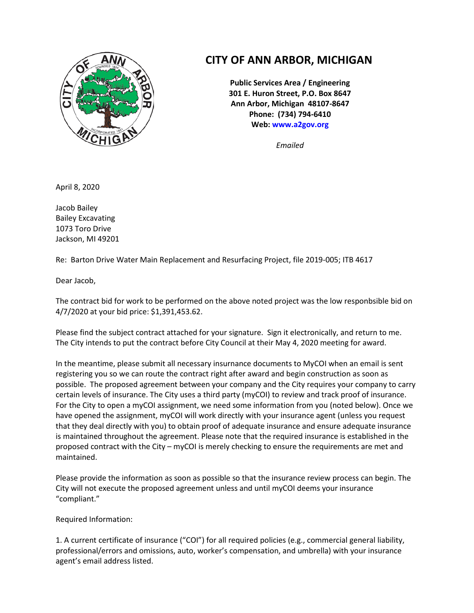

## **CITY OF ANN ARBOR, MICHIGAN**

**Public Services Area / Engineering 301 E. Huron Street, P.O. Box 8647 Ann Arbor, Michigan 48107-8647 Phone: (734) 794-6410 Web: [www.a2gov.org](http://www.a2gov.org/)**

*Emailed*

April 8, 2020

Jacob Bailey Bailey Excavating 1073 Toro Drive Jackson, MI 49201

Re: Barton Drive Water Main Replacement and Resurfacing Project, file 2019-005; ITB 4617

Dear Jacob,

The contract bid for work to be performed on the above noted project was the low responbsible bid on 4/7/2020 at your bid price: \$1,391,453.62.

Please find the subject contract attached for your signature. Sign it electronically, and return to me. The City intends to put the contract before City Council at their May 4, 2020 meeting for award.

In the meantime, please submit all necessary insurnance documents to MyCOI when an email is sent registering you so we can route the contract right after award and begin construction as soon as possible. The proposed agreement between your company and the City requires your company to carry certain levels of insurance. The City uses a third party (myCOI) to review and track proof of insurance. For the City to open a myCOI assignment, we need some information from you (noted below). Once we have opened the assignment, myCOI will work directly with your insurance agent (unless you request that they deal directly with you) to obtain proof of adequate insurance and ensure adequate insurance is maintained throughout the agreement. Please note that the required insurance is established in the proposed contract with the City – myCOI is merely checking to ensure the requirements are met and maintained.

Please provide the information as soon as possible so that the insurance review process can begin. The City will not execute the proposed agreement unless and until myCOI deems your insurance "compliant."

Required Information:

1. A current certificate of insurance ("COI") for all required policies (e.g., commercial general liability, professional/errors and omissions, auto, worker's compensation, and umbrella) with your insurance agent's email address listed.